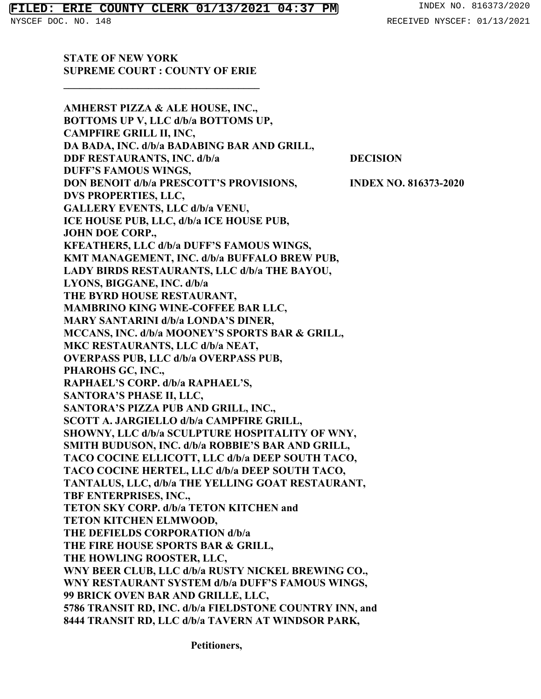**STATE OF NEW YORK SUPREME COURT : COUNTY OF ERIE**

**\_\_\_\_\_\_\_\_\_\_\_\_\_\_\_\_\_\_\_\_\_\_\_\_\_\_\_\_\_\_\_\_\_\_\_\_\_**

**AMHERST PIZZA & ALE HOUSE, INC., BOTTOMS UP V, LLC d/b/a BOTTOMS UP, CAMPFIRE GRILL II, INC, DA BADA, INC. d/b/a BADABING BAR AND GRILL, DDF RESTAURANTS, INC. d/b/a DECISION DUFF'S FAMOUS WINGS, DON BENOIT d/b/a PRESCOTT'S PROVISIONS, INDEX NO. 816373-2020 DVS PROPERTIES, LLC, GALLERY EVENTS, LLC d/b/a VENU, ICE HOUSE PUB, LLC, d/b/a ICE HOUSE PUB, JOHN DOE CORP., KFEATHER5, LLC d/b/a DUFF'S FAMOUS WINGS, KMT MANAGEMENT, INC. d/b/a BUFFALO BREW PUB, LADY BIRDS RESTAURANTS, LLC d/b/a THE BAYOU, LYONS, BIGGANE, INC. d/b/a THE BYRD HOUSE RESTAURANT, MAMBRINO KING WINE-COFFEE BAR LLC, MARY SANTARINI d/b/a LONDA'S DINER, MCCANS, INC. d/b/a MOONEY'S SPORTS BAR & GRILL, MKC RESTAURANTS, LLC d/b/a NEAT, OVERPASS PUB, LLC d/b/a OVERPASS PUB, PHAROHS GC, INC., RAPHAEL'S CORP. d/b/a RAPHAEL'S, SANTORA'S PHASE II, LLC, SANTORA'S PIZZA PUB AND GRILL, INC., SCOTT A. JARGIELLO d/b/a CAMPFIRE GRILL, SHOWNY, LLC d/b/a SCULPTURE HOSPITALITY OF WNY, SMITH BUDUSON, INC. d/b/a ROBBIE'S BAR AND GRILL, TACO COCINE ELLICOTT, LLC d/b/a DEEP SOUTH TACO, TACO COCINE HERTEL, LLC d/b/a DEEP SOUTH TACO, TANTALUS, LLC, d/b/a THE YELLING GOAT RESTAURANT, TBF ENTERPRISES, INC., TETON SKY CORP. d/b/a TETON KITCHEN and TETON KITCHEN ELMWOOD, THE DEFIELDS CORPORATION d/b/a THE FIRE HOUSE SPORTS BAR & GRILL, THE HOWLING ROOSTER, LLC, WNY BEER CLUB, LLC d/b/a RUSTY NICKEL BREWING CO., WNY RESTAURANT SYSTEM d/b/a DUFF'S FAMOUS WINGS, 99 BRICK OVEN BAR AND GRILLE, LLC, 5786 TRANSIT RD, INC. d/b/a FIELDSTONE COUNTRY INN, and 8444 TRANSIT RD, LLC d/b/a TAVERN AT WINDSOR PARK,**

**Petitioners,**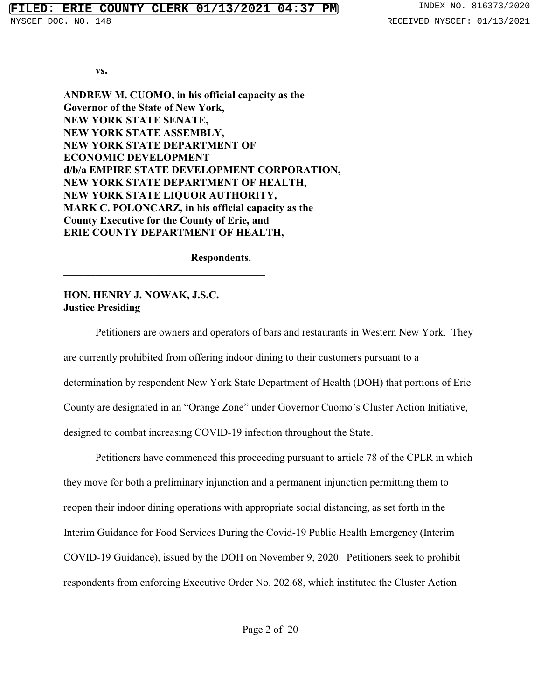**vs.**

**ANDREW M. CUOMO, in his official capacity as the Governor of the State of New York, NEW YORK STATE SENATE, NEW YORK STATE ASSEMBLY, NEW YORK STATE DEPARTMENT OF ECONOMIC DEVELOPMENT d/b/a EMPIRE STATE DEVELOPMENT CORPORATION, NEW YORK STATE DEPARTMENT OF HEALTH, NEW YORK STATE LIQUOR AUTHORITY, MARK C. POLONCARZ, in his official capacity as the County Executive for the County of Erie, and ERIE COUNTY DEPARTMENT OF HEALTH,**

**Respondents.**

# **HON. HENRY J. NOWAK, J.S.C. Justice Presiding**

**\_\_\_\_\_\_\_\_\_\_\_\_\_\_\_\_\_\_\_\_\_\_\_\_\_\_\_\_\_\_\_\_\_\_\_\_\_\_**

Petitioners are owners and operators of bars and restaurants in Western New York. They are currently prohibited from offering indoor dining to their customers pursuant to a determination by respondent New York State Department of Health (DOH) that portions of Erie County are designated in an "Orange Zone" under Governor Cuomo's Cluster Action Initiative, designed to combat increasing COVID-19 infection throughout the State.

Petitioners have commenced this proceeding pursuant to article 78 of the CPLR in which they move for both a preliminary injunction and a permanent injunction permitting them to reopen their indoor dining operations with appropriate social distancing, as set forth in the Interim Guidance for Food Services During the Covid-19 Public Health Emergency (Interim COVID-19 Guidance), issued by the DOH on November 9, 2020. Petitioners seek to prohibit respondents from enforcing Executive Order No. 202.68, which instituted the Cluster Action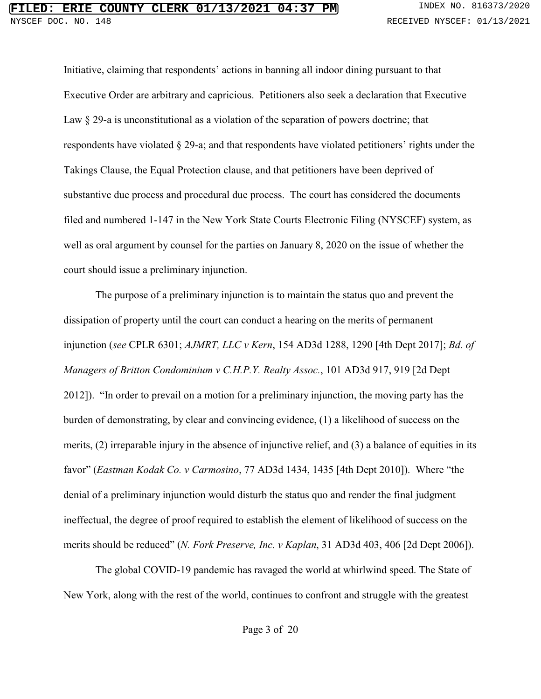Initiative, claiming that respondents' actions in banning all indoor dining pursuant to that Executive Order are arbitrary and capricious. Petitioners also seek a declaration that Executive Law § 29-a is unconstitutional as a violation of the separation of powers doctrine; that respondents have violated § 29-a; and that respondents have violated petitioners' rights under the Takings Clause, the Equal Protection clause, and that petitioners have been deprived of substantive due process and procedural due process. The court has considered the documents filed and numbered 1-147 in the New York State Courts Electronic Filing (NYSCEF) system, as well as oral argument by counsel for the parties on January 8, 2020 on the issue of whether the court should issue a preliminary injunction.

The purpose of a preliminary injunction is to maintain the status quo and prevent the dissipation of property until the court can conduct a hearing on the merits of permanent injunction (*see* CPLR 6301; *AJMRT, LLC v Kern*, 154 AD3d 1288, 1290 [4th Dept 2017]; *Bd. of Managers of Britton Condominium v C.H.P.Y. Realty Assoc.*, 101 AD3d 917, 919 [2d Dept 2012]). "In order to prevail on a motion for a preliminary injunction, the moving party has the burden of demonstrating, by clear and convincing evidence, (1) a likelihood of success on the merits, (2) irreparable injury in the absence of injunctive relief, and (3) a balance of equities in its favor" (*Eastman Kodak Co. v Carmosino*, 77 AD3d 1434, 1435 [4th Dept 2010]). Where "the denial of a preliminary injunction would disturb the status quo and render the final judgment ineffectual, the degree of proof required to establish the element of likelihood of success on the merits should be reduced" (*N. Fork Preserve, Inc. v Kaplan*, 31 AD3d 403, 406 [2d Dept 2006]).

The global COVID-19 pandemic has ravaged the world at whirlwind speed. The State of New York, along with the rest of the world, continues to confront and struggle with the greatest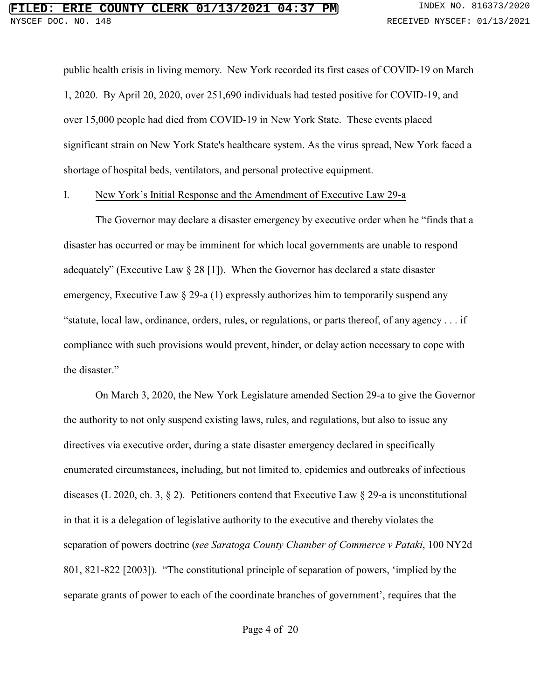public health crisis in living memory. New York recorded its first cases of COVID-19 on March 1, 2020. By April 20, 2020, over 251,690 individuals had tested positive for COVID-19, and over 15,000 people had died from COVID-19 in New York State. These events placed significant strain on New York State's healthcare system. As the virus spread, New York faced a shortage of hospital beds, ventilators, and personal protective equipment.

#### I. New York's Initial Response and the Amendment of Executive Law 29-a

The Governor may declare a disaster emergency by executive order when he "finds that a disaster has occurred or may be imminent for which local governments are unable to respond adequately" (Executive Law § 28 [1]). When the Governor has declared a state disaster emergency, Executive Law § 29-a (1) expressly authorizes him to temporarily suspend any "statute, local law, ordinance, orders, rules, or regulations, or parts thereof, of any agency . . . if compliance with such provisions would prevent, hinder, or delay action necessary to cope with the disaster."

On March 3, 2020, the New York Legislature amended Section 29-a to give the Governor the authority to not only suspend existing laws, rules, and regulations, but also to issue any directives via executive order, during a state disaster emergency declared in specifically enumerated circumstances, including, but not limited to, epidemics and outbreaks of infectious diseases (L 2020, ch. 3, § 2). Petitioners contend that Executive Law § 29-a is unconstitutional in that it is a delegation of legislative authority to the executive and thereby violates the separation of powers doctrine (*see Saratoga County Chamber of Commerce v Pataki*, 100 NY2d 801, 821-822 [2003]). "The constitutional principle of separation of powers, 'implied by the separate grants of power to each of the coordinate branches of government', requires that the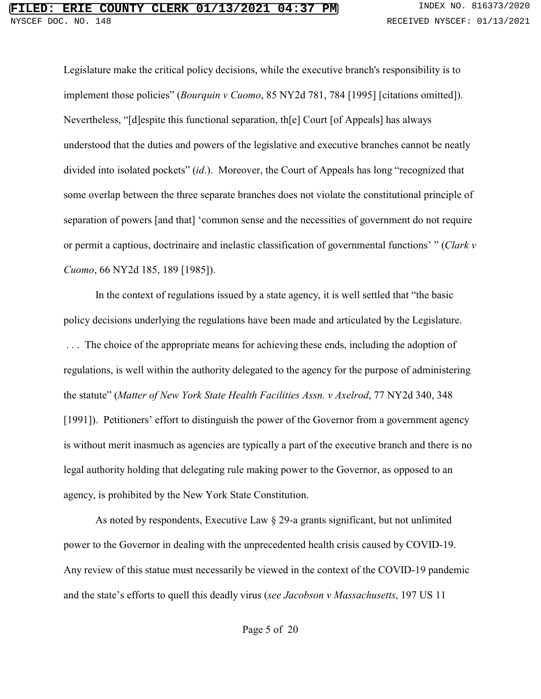Legislature make the critical policy decisions, while the executive branch's responsibility is to implement those policies" (*Bourquin v Cuomo*, 85 NY2d 781, 784 [1995] [citations omitted]). Nevertheless, "[d]espite this functional separation, th[e] Court [of Appeals] has always understood that the duties and powers of the legislative and executive branches cannot be neatly divided into isolated pockets" (*id*.). Moreover, the Court of Appeals has long "recognized that some overlap between the three separate branches does not violate the constitutional principle of separation of powers [and that] 'common sense and the necessities of government do not require or permit a captious, doctrinaire and inelastic classification of governmental functions' " (*Clark v Cuomo*, 66 NY2d 185, 189 [1985]).

In the context of regulations issued by a state agency, it is well settled that "the basic policy decisions underlying the regulations have been made and articulated by the Legislature. . . . The choice of the appropriate means for achieving these ends, including the adoption of regulations, is well within the authority delegated to the agency for the purpose of administering the statute" (*Matter of New York State Health Facilities Assn. v Axelrod*, 77 NY2d 340, 348 [1991]). Petitioners' effort to distinguish the power of the Governor from a government agency is without merit inasmuch as agencies are typically a part of the executive branch and there is no legal authority holding that delegating rule making power to the Governor, as opposed to an agency, is prohibited by the New York State Constitution.

As noted by respondents, Executive Law § 29-a grants significant, but not unlimited power to the Governor in dealing with the unprecedented health crisis caused by COVID-19. Any review of this statue must necessarily be viewed in the context of the COVID-19 pandemic and the state's efforts to quell this deadly virus (*see Jacobson v Massachusetts*, 197 US 11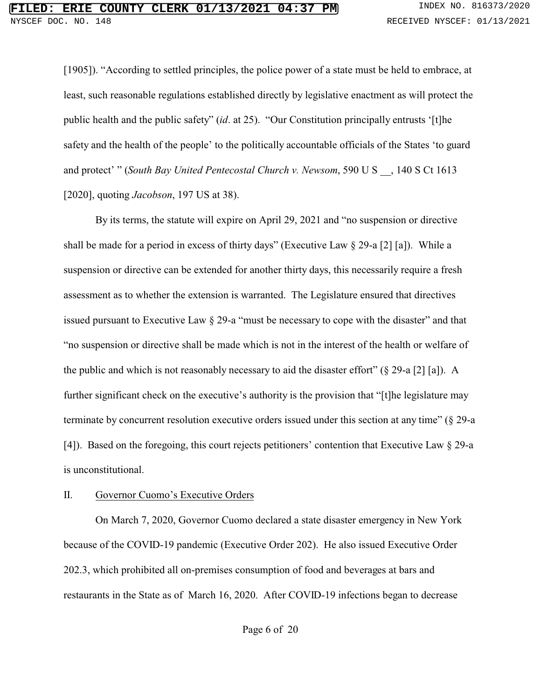[1905]). "According to settled principles, the police power of a state must be held to embrace, at least, such reasonable regulations established directly by legislative enactment as will protect the public health and the public safety" (*id*. at 25). "Our Constitution principally entrusts '[t]he safety and the health of the people' to the politically accountable officials of the States 'to guard and protect' " (*South Bay United Pentecostal Church v. Newsom*, 590 U S \_\_, 140 S Ct 1613 [2020], quoting *Jacobson*, 197 US at 38).

By its terms, the statute will expire on April 29, 2021 and "no suspension or directive shall be made for a period in excess of thirty days" (Executive Law  $\S 29$ -a [2] [a]). While a suspension or directive can be extended for another thirty days, this necessarily require a fresh assessment as to whether the extension is warranted. The Legislature ensured that directives issued pursuant to Executive Law § 29-a "must be necessary to cope with the disaster" and that "no suspension or directive shall be made which is not in the interest of the health or welfare of the public and which is not reasonably necessary to aid the disaster effort"  $(\S 29-a [2] [a])$ . A further significant check on the executive's authority is the provision that "[t]he legislature may terminate by concurrent resolution executive orders issued under this section at any time" (§ 29-a [4]). Based on the foregoing, this court rejects petitioners' contention that Executive Law § 29-a is unconstitutional.

#### II. Governor Cuomo's Executive Orders

On March 7, 2020, Governor Cuomo declared a state disaster emergency in New York because of the COVID-19 pandemic (Executive Order 202). He also issued Executive Order 202.3, which prohibited all on-premises consumption of food and beverages at bars and restaurants in the State as of March 16, 2020. After COVID-19 infections began to decrease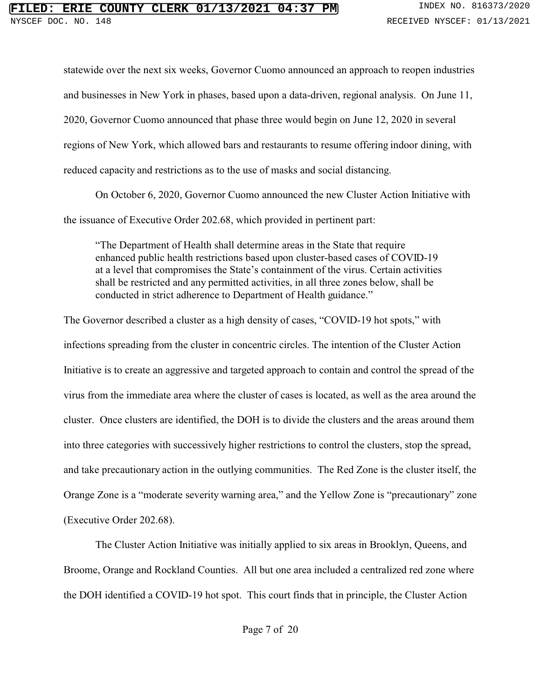statewide over the next six weeks, Governor Cuomo announced an approach to reopen industries and businesses in New York in phases, based upon a data-driven, regional analysis. On June 11, 2020, Governor Cuomo announced that phase three would begin on June 12, 2020 in several regions of New York, which allowed bars and restaurants to resume offering indoor dining, with reduced capacity and restrictions as to the use of masks and social distancing.

On October 6, 2020, Governor Cuomo announced the new Cluster Action Initiative with the issuance of Executive Order 202.68, which provided in pertinent part:

"The Department of Health shall determine areas in the State that require enhanced public health restrictions based upon cluster-based cases of COVID-19 at a level that compromises the State's containment of the virus. Certain activities shall be restricted and any permitted activities, in all three zones below, shall be conducted in strict adherence to Department of Health guidance."

The Governor described a cluster as a high density of cases, "COVID-19 hot spots," with infections spreading from the cluster in concentric circles. The intention of the Cluster Action Initiative is to create an aggressive and targeted approach to contain and control the spread of the virus from the immediate area where the cluster of cases is located, as well as the area around the cluster. Once clusters are identified, the DOH is to divide the clusters and the areas around them into three categories with successively higher restrictions to control the clusters, stop the spread, and take precautionary action in the outlying communities. The Red Zone is the cluster itself, the Orange Zone is a "moderate severity warning area," and the Yellow Zone is "precautionary" zone (Executive Order 202.68).

The Cluster Action Initiative was initially applied to six areas in Brooklyn, Queens, and Broome, Orange and Rockland Counties. All but one area included a centralized red zone where the DOH identified a COVID-19 hot spot. This court finds that in principle, the Cluster Action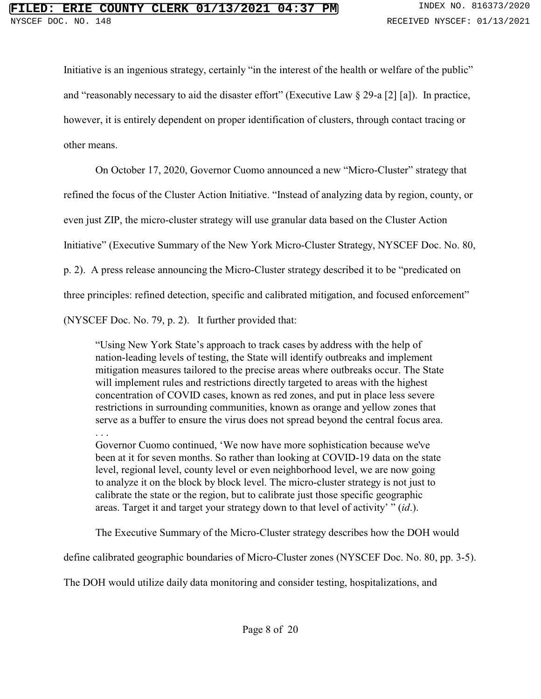Initiative is an ingenious strategy, certainly "in the interest of the health or welfare of the public" and "reasonably necessary to aid the disaster effort" (Executive Law § 29-a [2] [a]). In practice, however, it is entirely dependent on proper identification of clusters, through contact tracing or other means.

On October 17, 2020, Governor Cuomo announced a new "Micro-Cluster" strategy that refined the focus of the Cluster Action Initiative. "Instead of analyzing data by region, county, or even just ZIP, the micro-cluster strategy will use granular data based on the Cluster Action Initiative" (Executive Summary of the New York Micro-Cluster Strategy, NYSCEF Doc. No. 80, p. 2). A press release announcing the Micro-Cluster strategy described it to be "predicated on three principles: refined detection, specific and calibrated mitigation, and focused enforcement"

(NYSCEF Doc. No. 79, p. 2). It further provided that:

. . .

"Using New York State's approach to track cases by address with the help of nation-leading levels of testing, the State will identify outbreaks and implement mitigation measures tailored to the precise areas where outbreaks occur. The State will implement rules and restrictions directly targeted to areas with the highest concentration of COVID cases, known as red zones, and put in place less severe restrictions in surrounding communities, known as orange and yellow zones that serve as a buffer to ensure the virus does not spread beyond the central focus area.

Governor Cuomo continued, 'We now have more sophistication because we've been at it for seven months. So rather than looking at COVID-19 data on the state level, regional level, county level or even neighborhood level, we are now going to analyze it on the block by block level. The micro-cluster strategy is not just to calibrate the state or the region, but to calibrate just those specific geographic areas. Target it and target your strategy down to that level of activity' " (*id*.).

The Executive Summary of the Micro-Cluster strategy describes how the DOH would

define calibrated geographic boundaries of Micro-Cluster zones (NYSCEF Doc. No. 80, pp. 3-5).

The DOH would utilize daily data monitoring and consider testing, hospitalizations, and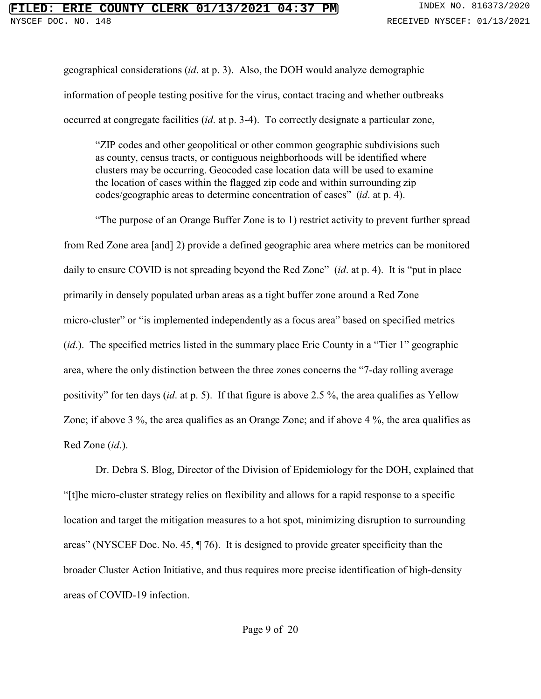geographical considerations (*id*. at p. 3). Also, the DOH would analyze demographic information of people testing positive for the virus, contact tracing and whether outbreaks occurred at congregate facilities (*id*. at p. 3-4). To correctly designate a particular zone,

"ZIP codes and other geopolitical or other common geographic subdivisions such as county, census tracts, or contiguous neighborhoods will be identified where clusters may be occurring. Geocoded case location data will be used to examine the location of cases within the flagged zip code and within surrounding zip codes/geographic areas to determine concentration of cases" (*id*. at p. 4).

"The purpose of an Orange Buffer Zone is to 1) restrict activity to prevent further spread from Red Zone area [and] 2) provide a defined geographic area where metrics can be monitored daily to ensure COVID is not spreading beyond the Red Zone" (*id*. at p. 4). It is "put in place primarily in densely populated urban areas as a tight buffer zone around a Red Zone micro-cluster" or "is implemented independently as a focus area" based on specified metrics (*id*.). The specified metrics listed in the summary place Erie County in a "Tier 1" geographic area, where the only distinction between the three zones concerns the "7-day rolling average positivity" for ten days (*id*. at p. 5). If that figure is above 2.5 %, the area qualifies as Yellow Zone; if above 3 %, the area qualifies as an Orange Zone; and if above 4 %, the area qualifies as Red Zone (*id*.).

Dr. Debra S. Blog, Director of the Division of Epidemiology for the DOH, explained that "[t]he micro-cluster strategy relies on flexibility and allows for a rapid response to a specific location and target the mitigation measures to a hot spot, minimizing disruption to surrounding areas" (NYSCEF Doc. No. 45, ¶ 76). It is designed to provide greater specificity than the broader Cluster Action Initiative, and thus requires more precise identification of high-density areas of COVID-19 infection.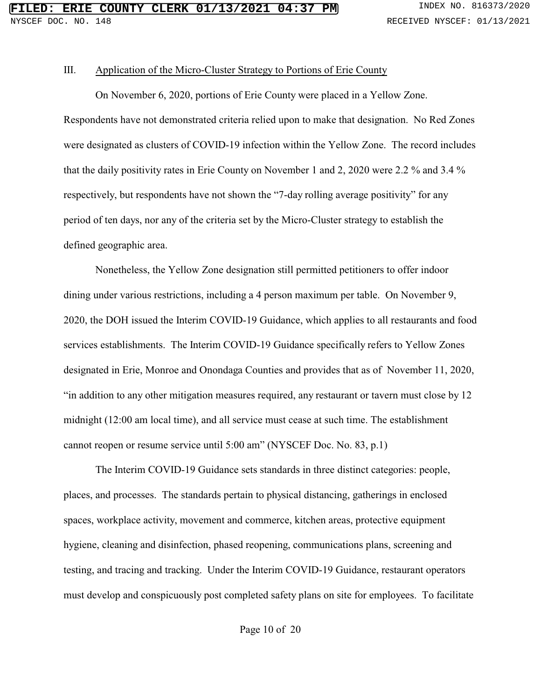## III. Application of the Micro-Cluster Strategy to Portions of Erie County

On November 6, 2020, portions of Erie County were placed in a Yellow Zone. Respondents have not demonstrated criteria relied upon to make that designation. No Red Zones were designated as clusters of COVID-19 infection within the Yellow Zone. The record includes that the daily positivity rates in Erie County on November 1 and 2, 2020 were 2.2 % and 3.4 % respectively, but respondents have not shown the "7-day rolling average positivity" for any period of ten days, nor any of the criteria set by the Micro-Cluster strategy to establish the defined geographic area.

Nonetheless, the Yellow Zone designation still permitted petitioners to offer indoor dining under various restrictions, including a 4 person maximum per table. On November 9, 2020, the DOH issued the Interim COVID-19 Guidance, which applies to all restaurants and food services establishments. The Interim COVID-19 Guidance specifically refers to Yellow Zones designated in Erie, Monroe and Onondaga Counties and provides that as of November 11, 2020, "in addition to any other mitigation measures required, any restaurant or tavern must close by 12 midnight (12:00 am local time), and all service must cease at such time. The establishment cannot reopen or resume service until 5:00 am" (NYSCEF Doc. No. 83, p.1)

The Interim COVID-19 Guidance sets standards in three distinct categories: people, places, and processes. The standards pertain to physical distancing, gatherings in enclosed spaces, workplace activity, movement and commerce, kitchen areas, protective equipment hygiene, cleaning and disinfection, phased reopening, communications plans, screening and testing, and tracing and tracking. Under the Interim COVID-19 Guidance, restaurant operators must develop and conspicuously post completed safety plans on site for employees. To facilitate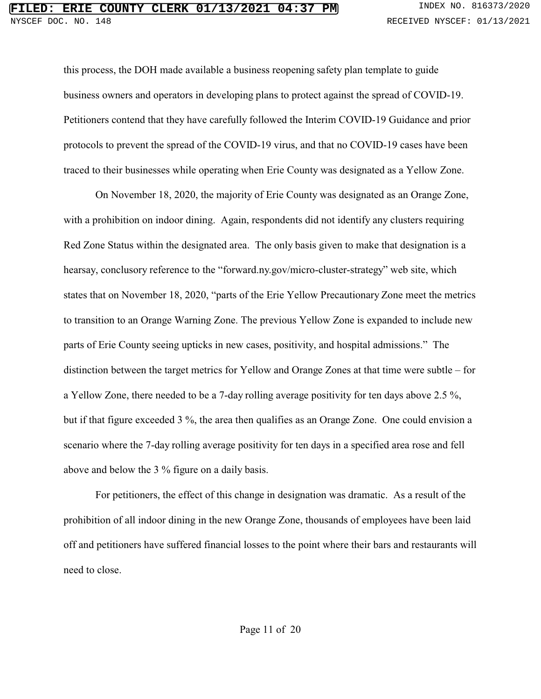this process, the DOH made available a business reopening safety plan template to guide business owners and operators in developing plans to protect against the spread of COVID-19. Petitioners contend that they have carefully followed the Interim COVID-19 Guidance and prior protocols to prevent the spread of the COVID-19 virus, and that no COVID-19 cases have been traced to their businesses while operating when Erie County was designated as a Yellow Zone.

On November 18, 2020, the majority of Erie County was designated as an Orange Zone, with a prohibition on indoor dining. Again, respondents did not identify any clusters requiring Red Zone Status within the designated area. The only basis given to make that designation is a hearsay, conclusory reference to the "forward.ny.gov/micro-cluster-strategy" web site, which states that on November 18, 2020, "parts of the Erie Yellow Precautionary Zone meet the metrics to transition to an Orange Warning Zone. The previous Yellow Zone is expanded to include new parts of Erie County seeing upticks in new cases, positivity, and hospital admissions." The distinction between the target metrics for Yellow and Orange Zones at that time were subtle – for a Yellow Zone, there needed to be a 7-day rolling average positivity for ten days above 2.5 %, but if that figure exceeded 3 %, the area then qualifies as an Orange Zone. One could envision a scenario where the 7-day rolling average positivity for ten days in a specified area rose and fell above and below the 3 % figure on a daily basis.

For petitioners, the effect of this change in designation was dramatic. As a result of the prohibition of all indoor dining in the new Orange Zone, thousands of employees have been laid off and petitioners have suffered financial losses to the point where their bars and restaurants will need to close.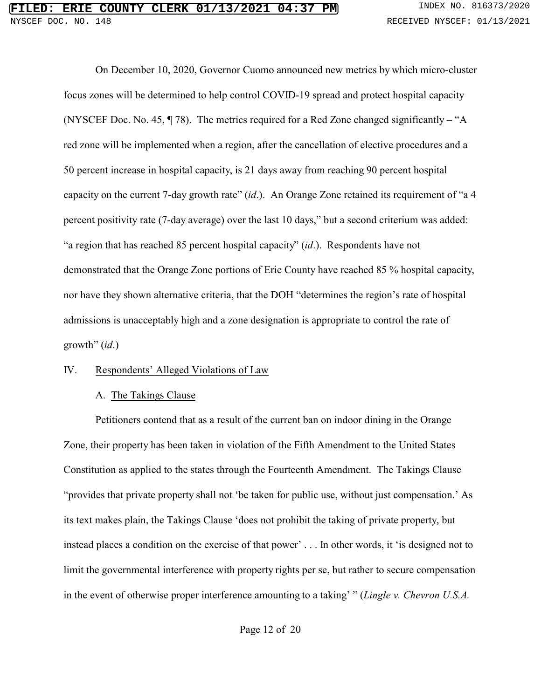On December 10, 2020, Governor Cuomo announced new metrics by which micro-cluster focus zones will be determined to help control COVID-19 spread and protect hospital capacity (NYSCEF Doc. No. 45, ¶ 78). The metrics required for a Red Zone changed significantly – "A red zone will be implemented when a region, after the cancellation of elective procedures and a 50 percent increase in hospital capacity, is 21 days away from reaching 90 percent hospital capacity on the current 7-day growth rate" (*id*.). An Orange Zone retained its requirement of "a 4 percent positivity rate (7-day average) over the last 10 days," but a second criterium was added: "a region that has reached 85 percent hospital capacity" (*id*.). Respondents have not demonstrated that the Orange Zone portions of Erie County have reached 85 % hospital capacity, nor have they shown alternative criteria, that the DOH "determines the region's rate of hospital admissions is unacceptably high and a zone designation is appropriate to control the rate of growth" (*id*.)

## IV. Respondents' Alleged Violations of Law

## A. The Takings Clause

Petitioners contend that as a result of the current ban on indoor dining in the Orange Zone, their property has been taken in violation of the Fifth Amendment to the United States Constitution as applied to the states through the Fourteenth Amendment. The Takings Clause "provides that private property shall not 'be taken for public use, without just compensation.' As its text makes plain, the Takings Clause 'does not prohibit the taking of private property, but instead places a condition on the exercise of that power' . . . In other words, it 'is designed not to limit the governmental interference with property rights per se, but rather to secure compensation in the event of otherwise proper interference amounting to a taking' " (*Lingle v. Chevron U.S.A.*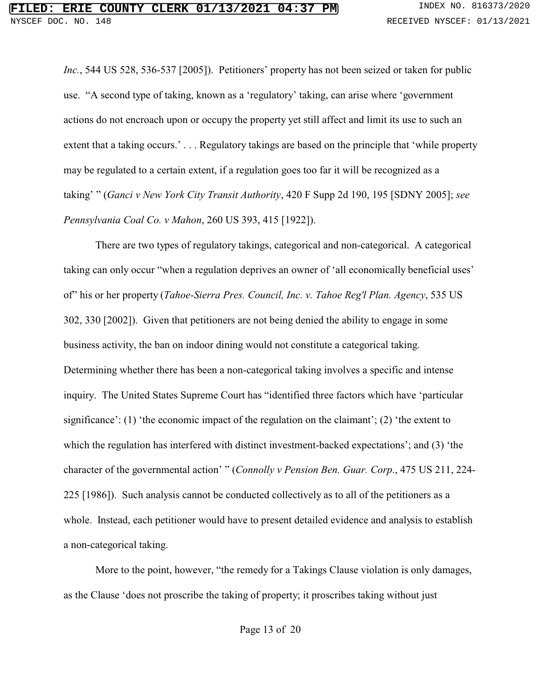*Inc.*, 544 US 528, 536-537 [2005]). Petitioners' property has not been seized or taken for public use. "A second type of taking, known as a 'regulatory' taking, can arise where 'government actions do not encroach upon or occupy the property yet still affect and limit its use to such an extent that a taking occurs.' . . . Regulatory takings are based on the principle that 'while property may be regulated to a certain extent, if a regulation goes too far it will be recognized as a taking' " (*Ganci v New York City Transit Authority*, 420 F Supp 2d 190, 195 [SDNY 2005]; *see Pennsylvania Coal Co. v Mahon*, 260 US 393, 415 [1922]).

There are two types of regulatory takings, categorical and non-categorical. A categorical taking can only occur "when a regulation deprives an owner of 'all economically beneficial uses' of" his or her property (*Tahoe-Sierra Pres. Council, Inc. v. Tahoe Reg'l Plan. Agency*, 535 US 302, 330 [2002]). Given that petitioners are not being denied the ability to engage in some business activity, the ban on indoor dining would not constitute a categorical taking. Determining whether there has been a non-categorical taking involves a specific and intense inquiry. The United States Supreme Court has "identified three factors which have 'particular significance': (1) 'the economic impact of the regulation on the claimant'; (2) 'the extent to which the regulation has interfered with distinct investment-backed expectations'; and (3) 'the character of the governmental action' " (*Connolly v Pension Ben. Guar. Corp*., 475 US 211, 224- 225 [1986]). Such analysis cannot be conducted collectively as to all of the petitioners as a whole. Instead, each petitioner would have to present detailed evidence and analysis to establish a non-categorical taking.

More to the point, however, "the remedy for a Takings Clause violation is only damages, as the Clause 'does not proscribe the taking of property; it proscribes taking without just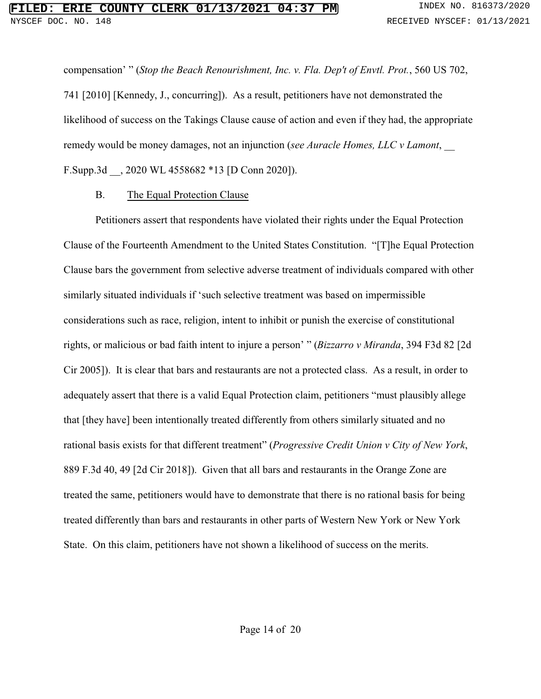compensation' " (*Stop the Beach Renourishment, Inc. v. Fla. Dep't of Envtl. Prot.*, 560 US 702, 741 [2010] [Kennedy, J., concurring]). As a result, petitioners have not demonstrated the likelihood of success on the Takings Clause cause of action and even if they had, the appropriate remedy would be money damages, not an injunction (*see Auracle Homes, LLC v Lamont*, \_\_

F.Supp.3d \_\_, 2020 WL 4558682 \*13 [D Conn 2020]).

B. The Equal Protection Clause

Petitioners assert that respondents have violated their rights under the Equal Protection Clause of the Fourteenth Amendment to the United States Constitution. "[T]he Equal Protection Clause bars the government from selective adverse treatment of individuals compared with other similarly situated individuals if 'such selective treatment was based on impermissible considerations such as race, religion, intent to inhibit or punish the exercise of constitutional rights, or malicious or bad faith intent to injure a person' " (*Bizzarro v Miranda*, 394 F3d 82 [2d Cir 2005]). It is clear that bars and restaurants are not a protected class. As a result, in order to adequately assert that there is a valid Equal Protection claim, petitioners "must plausibly allege that [they have] been intentionally treated differently from others similarly situated and no rational basis exists for that different treatment" (*Progressive Credit Union v City of New York*, 889 F.3d 40, 49 [2d Cir 2018]). Given that all bars and restaurants in the Orange Zone are treated the same, petitioners would have to demonstrate that there is no rational basis for being treated differently than bars and restaurants in other parts of Western New York or New York State. On this claim, petitioners have not shown a likelihood of success on the merits.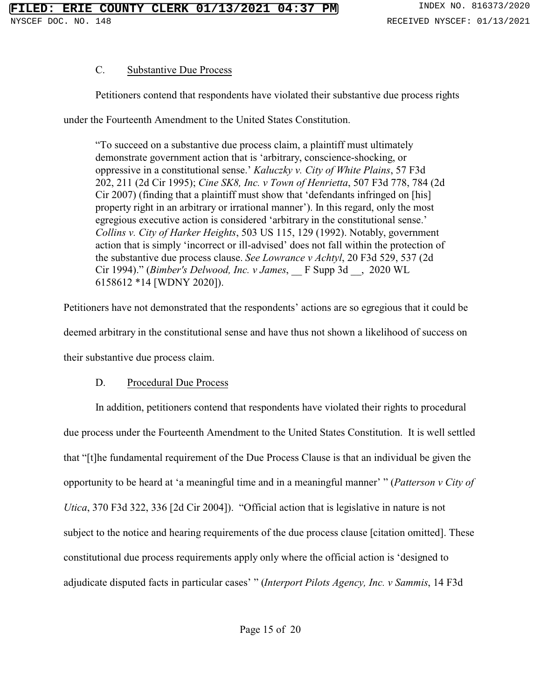# C. Substantive Due Process

Petitioners contend that respondents have violated their substantive due process rights

under the Fourteenth Amendment to the United States Constitution.

"To succeed on a substantive due process claim, a plaintiff must ultimately demonstrate government action that is 'arbitrary, conscience-shocking, or oppressive in a constitutional sense.' *Kaluczky v. City of White Plains*, 57 F3d 202, 211 (2d Cir 1995); *Cine SK8, Inc. v Town of Henrietta*, 507 F3d 778, 784 (2d Cir 2007) (finding that a plaintiff must show that 'defendants infringed on [his] property right in an arbitrary or irrational manner'). In this regard, only the most egregious executive action is considered 'arbitrary in the constitutional sense.' *Collins v. City of Harker Heights*, 503 US 115, 129 (1992). Notably, government action that is simply 'incorrect or ill-advised' does not fall within the protection of the substantive due process clause. *See Lowrance v Achtyl*, 20 F3d 529, 537 (2d Cir 1994)." (*Bimber's Delwood, Inc. v James*, \_\_ F Supp 3d \_\_, 2020 WL 6158612 \*14 [WDNY 2020]).

Petitioners have not demonstrated that the respondents' actions are so egregious that it could be deemed arbitrary in the constitutional sense and have thus not shown a likelihood of success on their substantive due process claim.

# D. Procedural Due Process

In addition, petitioners contend that respondents have violated their rights to procedural due process under the Fourteenth Amendment to the United States Constitution. It is well settled that "[t]he fundamental requirement of the Due Process Clause is that an individual be given the opportunity to be heard at 'a meaningful time and in a meaningful manner' " (*Patterson v City of Utica*, 370 F3d 322, 336 [2d Cir 2004]). "Official action that is legislative in nature is not subject to the notice and hearing requirements of the due process clause [citation omitted]. These constitutional due process requirements apply only where the official action is 'designed to adjudicate disputed facts in particular cases' " (*Interport Pilots Agency, Inc. v Sammis*, 14 F3d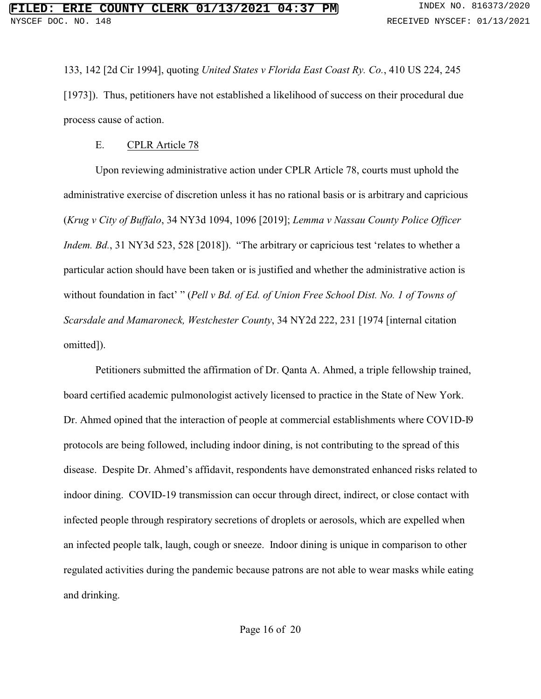133, 142 [2d Cir 1994], quoting *United States v Florida East Coast Ry. Co.*, 410 US 224, 245 [1973]). Thus, petitioners have not established a likelihood of success on their procedural due process cause of action.

# E. CPLR Article 78

Upon reviewing administrative action under CPLR Article 78, courts must uphold the administrative exercise of discretion unless it has no rational basis or is arbitrary and capricious (*Krug v City of Buffalo*, 34 NY3d 1094, 1096 [2019]; *Lemma v Nassau County Police Officer Indem. Bd.*, 31 NY3d 523, 528 [2018]). "The arbitrary or capricious test 'relates to whether a particular action should have been taken or is justified and whether the administrative action is without foundation in fact' " (*Pell v Bd. of Ed. of Union Free School Dist. No. 1 of Towns of Scarsdale and Mamaroneck, Westchester County*, 34 NY2d 222, 231 [1974 [internal citation omitted]).

Petitioners submitted the affirmation of Dr. Qanta A. Ahmed, a triple fellowship trained, board certified academic pulmonologist actively licensed to practice in the State of New York. Dr. Ahmed opined that the interaction of people at commercial establishments where COV1D-I9 protocols are being followed, including indoor dining, is not contributing to the spread of this disease. Despite Dr. Ahmed's affidavit, respondents have demonstrated enhanced risks related to indoor dining. COVID-19 transmission can occur through direct, indirect, or close contact with infected people through respiratory secretions of droplets or aerosols, which are expelled when an infected people talk, laugh, cough or sneeze. Indoor dining is unique in comparison to other regulated activities during the pandemic because patrons are not able to wear masks while eating and drinking.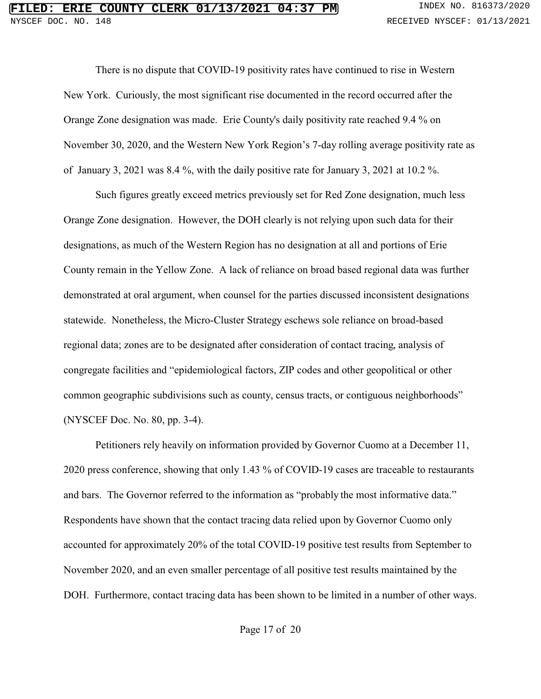There is no dispute that COVID-19 positivity rates have continued to rise in Western New York. Curiously, the most significant rise documented in the record occurred after the Orange Zone designation was made. Erie County's daily positivity rate reached 9.4 % on November 30, 2020, and the Western New York Region's 7-day rolling average positivity rate as of January 3, 2021 was 8.4 %, with the daily positive rate for January 3, 2021 at 10.2 %.

Such figures greatly exceed metrics previously set for Red Zone designation, much less Orange Zone designation. However, the DOH clearly is not relying upon such data for their designations, as much of the Western Region has no designation at all and portions of Erie County remain in the Yellow Zone. A lack of reliance on broad based regional data was further demonstrated at oral argument, when counsel for the parties discussed inconsistent designations statewide. Nonetheless, the Micro-Cluster Strategy eschews sole reliance on broad-based regional data; zones are to be designated after consideration of contact tracing, analysis of congregate facilities and "epidemiological factors, ZIP codes and other geopolitical or other common geographic subdivisions such as county, census tracts, or contiguous neighborhoods" (NYSCEF Doc. No. 80, pp. 3-4).

Petitioners rely heavily on information provided by Governor Cuomo at a December 11, 2020 press conference, showing that only 1.43 % of COVID-19 cases are traceable to restaurants and bars. The Governor referred to the information as "probably the most informative data." Respondents have shown that the contact tracing data relied upon by Governor Cuomo only accounted for approximately 20% of the total COVID-19 positive test results from September to November 2020, and an even smaller percentage of all positive test results maintained by the DOH. Furthermore, contact tracing data has been shown to be limited in a number of other ways.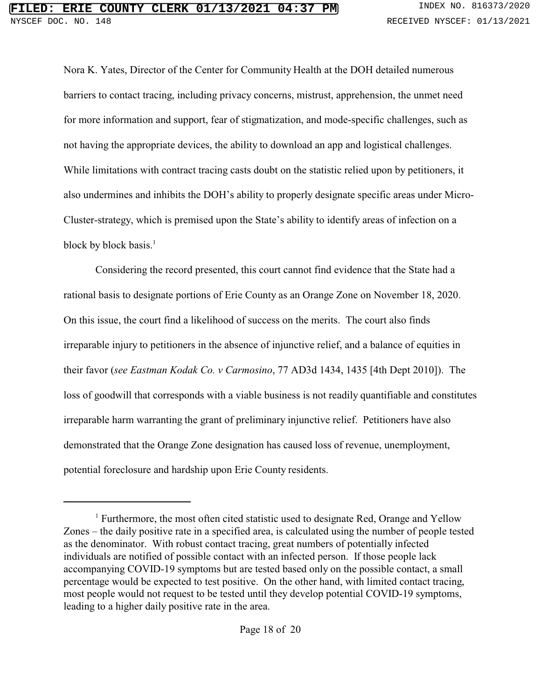Nora K. Yates, Director of the Center for Community Health at the DOH detailed numerous barriers to contact tracing, including privacy concerns, mistrust, apprehension, the unmet need for more information and support, fear of stigmatization, and mode-specific challenges, such as not having the appropriate devices, the ability to download an app and logistical challenges. While limitations with contract tracing casts doubt on the statistic relied upon by petitioners, it also undermines and inhibits the DOH's ability to properly designate specific areas under Micro-Cluster-strategy, which is premised upon the State's ability to identify areas of infection on a block by block basis.<sup>1</sup>

Considering the record presented, this court cannot find evidence that the State had a rational basis to designate portions of Erie County as an Orange Zone on November 18, 2020. On this issue, the court find a likelihood of success on the merits. The court also finds irreparable injury to petitioners in the absence of injunctive relief, and a balance of equities in their favor (*see Eastman Kodak Co. v Carmosino*, 77 AD3d 1434, 1435 [4th Dept 2010]). The loss of goodwill that corresponds with a viable business is not readily quantifiable and constitutes irreparable harm warranting the grant of preliminary injunctive relief. Petitioners have also demonstrated that the Orange Zone designation has caused loss of revenue, unemployment, potential foreclosure and hardship upon Erie County residents.

<sup>&</sup>lt;sup>1</sup> Furthermore, the most often cited statistic used to designate Red, Orange and Yellow Zones – the daily positive rate in a specified area, is calculated using the number of people tested as the denominator. With robust contact tracing, great numbers of potentially infected individuals are notified of possible contact with an infected person. If those people lack accompanying COVID-19 symptoms but are tested based only on the possible contact, a small percentage would be expected to test positive. On the other hand, with limited contact tracing, most people would not request to be tested until they develop potential COVID-19 symptoms, leading to a higher daily positive rate in the area.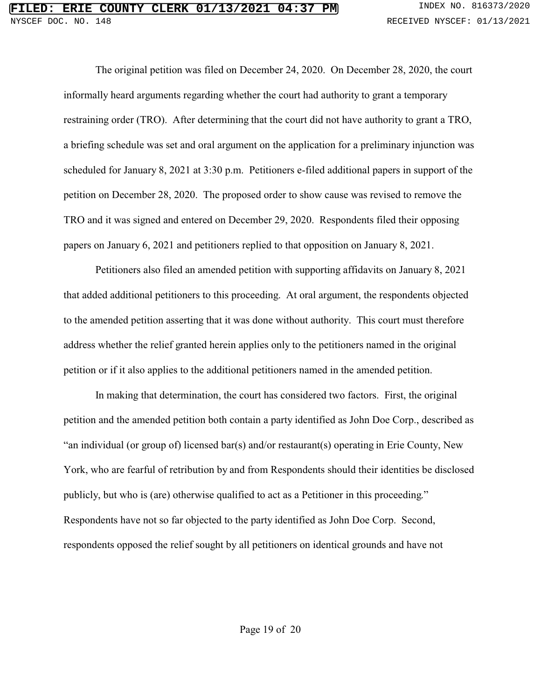The original petition was filed on December 24, 2020. On December 28, 2020, the court informally heard arguments regarding whether the court had authority to grant a temporary restraining order (TRO). After determining that the court did not have authority to grant a TRO, a briefing schedule was set and oral argument on the application for a preliminary injunction was scheduled for January 8, 2021 at 3:30 p.m. Petitioners e-filed additional papers in support of the petition on December 28, 2020. The proposed order to show cause was revised to remove the TRO and it was signed and entered on December 29, 2020. Respondents filed their opposing papers on January 6, 2021 and petitioners replied to that opposition on January 8, 2021.

Petitioners also filed an amended petition with supporting affidavits on January 8, 2021 that added additional petitioners to this proceeding. At oral argument, the respondents objected to the amended petition asserting that it was done without authority. This court must therefore address whether the relief granted herein applies only to the petitioners named in the original petition or if it also applies to the additional petitioners named in the amended petition.

In making that determination, the court has considered two factors. First, the original petition and the amended petition both contain a party identified as John Doe Corp., described as "an individual (or group of) licensed bar(s) and/or restaurant(s) operating in Erie County, New York, who are fearful of retribution by and from Respondents should their identities be disclosed publicly, but who is (are) otherwise qualified to act as a Petitioner in this proceeding." Respondents have not so far objected to the party identified as John Doe Corp. Second, respondents opposed the relief sought by all petitioners on identical grounds and have not